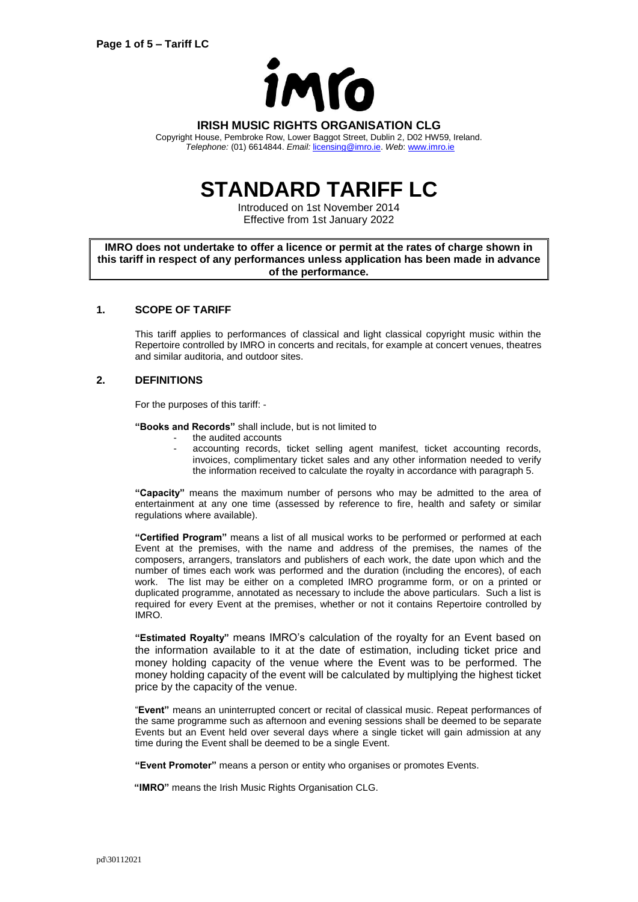

## **IRISH MUSIC RIGHTS ORGANISATION CLG**

Copyright House, Pembroke Row, Lower Baggot Street, Dublin 2, D02 HW59, Ireland. *Telephone:* (01) 6614844. *Email:* [licensing@imro.ie.](mailto:licensing@imro.ie) *Web*[: www.imro.ie](http://www.imro.ie/)

# **STANDARD TARIFF LC**

Introduced on 1st November 2014 Effective from 1st January 2022

**IMRO does not undertake to offer a licence or permit at the rates of charge shown in this tariff in respect of any performances unless application has been made in advance of the performance.**

## **1. SCOPE OF TARIFF**

This tariff applies to performances of classical and light classical copyright music within the Repertoire controlled by IMRO in concerts and recitals, for example at concert venues, theatres and similar auditoria, and outdoor sites.

## **2. DEFINITIONS**

For the purposes of this tariff: -

**"Books and Records"** shall include, but is not limited to

- the audited accounts
- accounting records, ticket selling agent manifest, ticket accounting records, invoices, complimentary ticket sales and any other information needed to verify the information received to calculate the royalty in accordance with paragraph 5.

**"Capacity"** means the maximum number of persons who may be admitted to the area of entertainment at any one time (assessed by reference to fire, health and safety or similar regulations where available).

**"Certified Program"** means a list of all musical works to be performed or performed at each Event at the premises, with the name and address of the premises, the names of the composers, arrangers, translators and publishers of each work, the date upon which and the number of times each work was performed and the duration (including the encores), of each work. The list may be either on a completed IMRO programme form, or on a printed or duplicated programme, annotated as necessary to include the above particulars. Such a list is required for every Event at the premises, whether or not it contains Repertoire controlled by IMRO.

**"Estimated Royalty"** means IMRO's calculation of the royalty for an Event based on the information available to it at the date of estimation, including ticket price and money holding capacity of the venue where the Event was to be performed. The money holding capacity of the event will be calculated by multiplying the highest ticket price by the capacity of the venue.

"**Event"** means an uninterrupted concert or recital of classical music. Repeat performances of the same programme such as afternoon and evening sessions shall be deemed to be separate Events but an Event held over several days where a single ticket will gain admission at any time during the Event shall be deemed to be a single Event.

**"Event Promoter"** means a person or entity who organises or promotes Events.

**"IMRO"** means the Irish Music Rights Organisation CLG.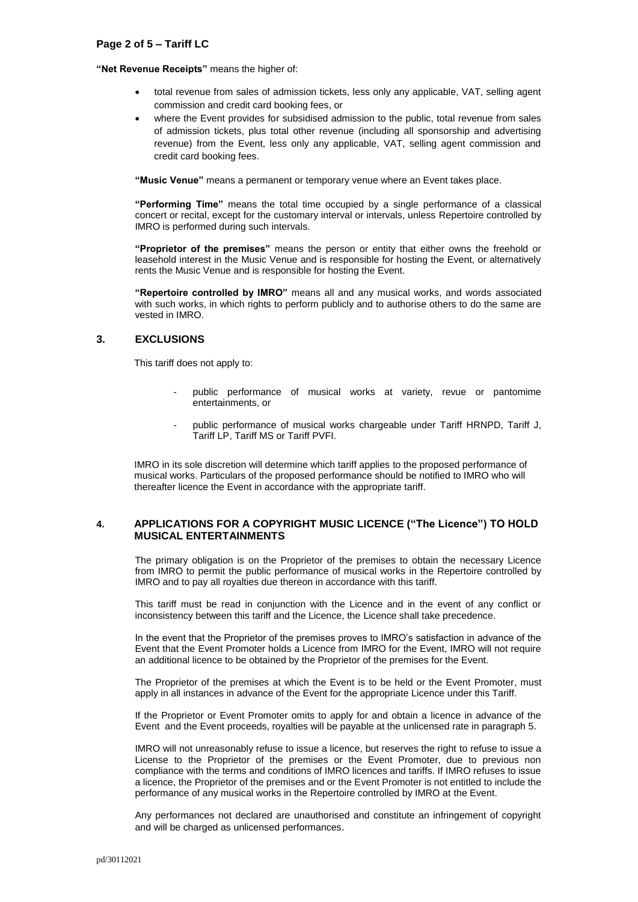#### **"Net Revenue Receipts"** means the higher of:

- total revenue from sales of admission tickets, less only any applicable, VAT, selling agent commission and credit card booking fees, or
- where the Event provides for subsidised admission to the public, total revenue from sales of admission tickets, plus total other revenue (including all sponsorship and advertising revenue) from the Event, less only any applicable, VAT, selling agent commission and credit card booking fees.

**"Music Venue"** means a permanent or temporary venue where an Event takes place.

**"Performing Time"** means the total time occupied by a single performance of a classical concert or recital, except for the customary interval or intervals, unless Repertoire controlled by IMRO is performed during such intervals.

**"Proprietor of the premises"** means the person or entity that either owns the freehold or leasehold interest in the Music Venue and is responsible for hosting the Event, or alternatively rents the Music Venue and is responsible for hosting the Event.

**"Repertoire controlled by IMRO"** means all and any musical works, and words associated with such works, in which rights to perform publicly and to authorise others to do the same are vested in IMRO.

## **3. EXCLUSIONS**

This tariff does not apply to:

- public performance of musical works at variety, revue or pantomime entertainments, or
- public performance of musical works chargeable under Tariff HRNPD, Tariff J, Tariff LP, Tariff MS or Tariff PVFI.

IMRO in its sole discretion will determine which tariff applies to the proposed performance of musical works. Particulars of the proposed performance should be notified to IMRO who will thereafter licence the Event in accordance with the appropriate tariff.

## **4. APPLICATIONS FOR A COPYRIGHT MUSIC LICENCE ("The Licence") TO HOLD MUSICAL ENTERTAINMENTS**

The primary obligation is on the Proprietor of the premises to obtain the necessary Licence from IMRO to permit the public performance of musical works in the Repertoire controlled by IMRO and to pay all royalties due thereon in accordance with this tariff.

This tariff must be read in conjunction with the Licence and in the event of any conflict or inconsistency between this tariff and the Licence, the Licence shall take precedence.

In the event that the Proprietor of the premises proves to IMRO's satisfaction in advance of the Event that the Event Promoter holds a Licence from IMRO for the Event, IMRO will not require an additional licence to be obtained by the Proprietor of the premises for the Event.

The Proprietor of the premises at which the Event is to be held or the Event Promoter, must apply in all instances in advance of the Event for the appropriate Licence under this Tariff.

If the Proprietor or Event Promoter omits to apply for and obtain a licence in advance of the Event and the Event proceeds, royalties will be payable at the unlicensed rate in paragraph 5.

IMRO will not unreasonably refuse to issue a licence, but reserves the right to refuse to issue a License to the Proprietor of the premises or the Event Promoter, due to previous non compliance with the terms and conditions of IMRO licences and tariffs. If IMRO refuses to issue a licence, the Proprietor of the premises and or the Event Promoter is not entitled to include the performance of any musical works in the Repertoire controlled by IMRO at the Event.

Any performances not declared are unauthorised and constitute an infringement of copyright and will be charged as unlicensed performances.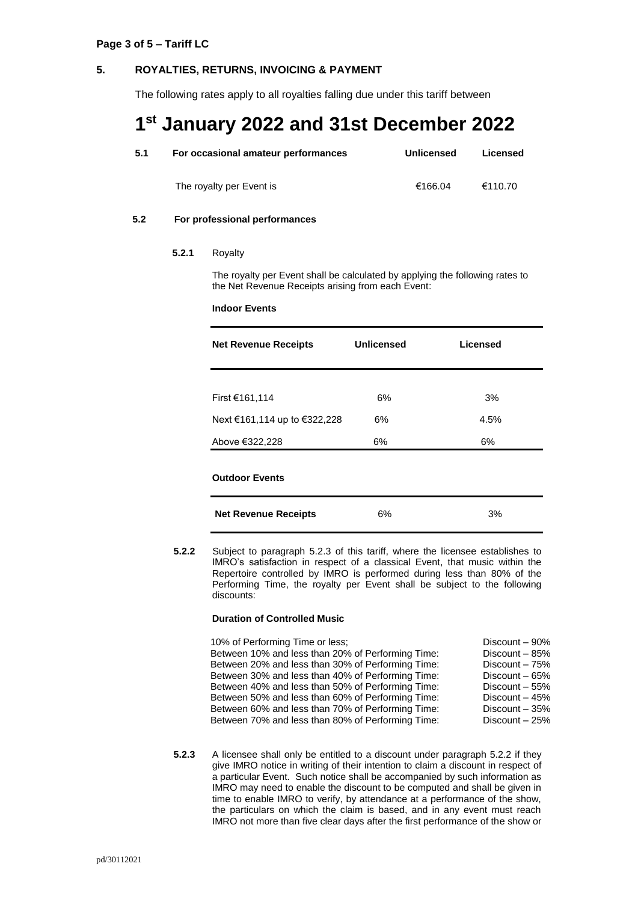## **5. ROYALTIES, RETURNS, INVOICING & PAYMENT**

The following rates apply to all royalties falling due under this tariff between

## **1 st January 2022 and 31st December 2022**

| 5.1 | For occasional amateur performances | <b>Unlicensed</b> | Licensed |
|-----|-------------------------------------|-------------------|----------|
|     | The royalty per Event is            | €166.04           | €110.70  |

## **5.2 For professional performances**

#### **5.2.1** Royalty

The royalty per Event shall be calculated by applying the following rates to the Net Revenue Receipts arising from each Event:

#### **Indoor Events**

| <b>Net Revenue Receipts</b>  | <b>Unlicensed</b> | Licensed |
|------------------------------|-------------------|----------|
|                              |                   |          |
| First €161,114               | 6%                | 3%       |
| Next €161,114 up to €322,228 | 6%                | 4.5%     |
| Above €322,228               | 6%                | 6%       |
| <b>Outdoor Events</b>        |                   |          |
| <b>Net Revenue Receipts</b>  | 6%                | 3%       |

**5.2.2** Subject to paragraph 5.2.3 of this tariff, where the licensee establishes to IMRO's satisfaction in respect of a classical Event, that music within the Repertoire controlled by IMRO is performed during less than 80% of the Performing Time, the royalty per Event shall be subject to the following discounts:

#### **Duration of Controlled Music**

| 10% of Performing Time or less;                   | Discount - 90%  |
|---------------------------------------------------|-----------------|
| Between 10% and less than 20% of Performing Time: | Discount - 85%  |
| Between 20% and less than 30% of Performing Time: | Discount - 75%  |
| Between 30% and less than 40% of Performing Time: | Discount $-65%$ |
| Between 40% and less than 50% of Performing Time: | Discount - 55%  |
| Between 50% and less than 60% of Performing Time: | Discount $-45%$ |
| Between 60% and less than 70% of Performing Time: | Discount - 35%  |
| Between 70% and less than 80% of Performing Time: | Discount - 25%  |

**5.2.3** A licensee shall only be entitled to a discount under paragraph 5.2.2 if they give IMRO notice in writing of their intention to claim a discount in respect of a particular Event. Such notice shall be accompanied by such information as IMRO may need to enable the discount to be computed and shall be given in time to enable IMRO to verify, by attendance at a performance of the show, the particulars on which the claim is based, and in any event must reach IMRO not more than five clear days after the first performance of the show or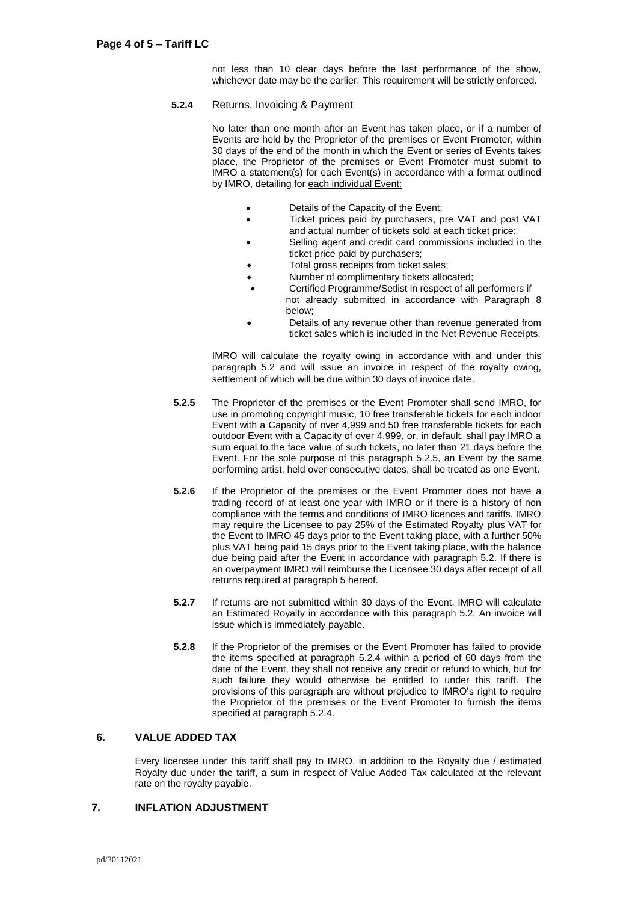not less than 10 clear days before the last performance of the show, whichever date may be the earlier. This requirement will be strictly enforced.

#### **5.2.4** Returns, Invoicing & Payment

No later than one month after an Event has taken place, or if a number of Events are held by the Proprietor of the premises or Event Promoter, within 30 days of the end of the month in which the Event or series of Events takes place, the Proprietor of the premises or Event Promoter must submit to IMRO a statement(s) for each Event(s) in accordance with a format outlined by IMRO, detailing for each individual Event:

- Details of the Capacity of the Event;
- Ticket prices paid by purchasers, pre VAT and post VAT and actual number of tickets sold at each ticket price;
- Selling agent and credit card commissions included in the ticket price paid by purchasers;
- Total gross receipts from ticket sales;
- Number of complimentary tickets allocated;
- Certified Programme/Setlist in respect of all performers if not already submitted in accordance with Paragraph 8 below;
- Details of any revenue other than revenue generated from ticket sales which is included in the Net Revenue Receipts.

IMRO will calculate the royalty owing in accordance with and under this paragraph 5.2 and will issue an invoice in respect of the royalty owing, settlement of which will be due within 30 days of invoice date.

- **5.2.5** The Proprietor of the premises or the Event Promoter shall send IMRO, for use in promoting copyright music, 10 free transferable tickets for each indoor Event with a Capacity of over 4,999 and 50 free transferable tickets for each outdoor Event with a Capacity of over 4,999, or, in default, shall pay IMRO a sum equal to the face value of such tickets, no later than 21 days before the Event. For the sole purpose of this paragraph 5.2.5, an Event by the same performing artist, held over consecutive dates, shall be treated as one Event.
- **5.2.6** If the Proprietor of the premises or the Event Promoter does not have a trading record of at least one year with IMRO or if there is a history of non compliance with the terms and conditions of IMRO licences and tariffs, IMRO may require the Licensee to pay 25% of the Estimated Royalty plus VAT for the Event to IMRO 45 days prior to the Event taking place, with a further 50% plus VAT being paid 15 days prior to the Event taking place, with the balance due being paid after the Event in accordance with paragraph 5.2. If there is an overpayment IMRO will reimburse the Licensee 30 days after receipt of all returns required at paragraph 5 hereof.
- **5.2.7** If returns are not submitted within 30 days of the Event, IMRO will calculate an Estimated Royalty in accordance with this paragraph 5.2. An invoice will issue which is immediately payable.
- **5.2.8** If the Proprietor of the premises or the Event Promoter has failed to provide the items specified at paragraph 5.2.4 within a period of 60 days from the date of the Event, they shall not receive any credit or refund to which, but for such failure they would otherwise be entitled to under this tariff. The provisions of this paragraph are without prejudice to IMRO's right to require the Proprietor of the premises or the Event Promoter to furnish the items specified at paragraph 5.2.4.

## **6. VALUE ADDED TAX**

Every licensee under this tariff shall pay to IMRO, in addition to the Royalty due / estimated Royalty due under the tariff, a sum in respect of Value Added Tax calculated at the relevant rate on the royalty payable.

## **7. INFLATION ADJUSTMENT**